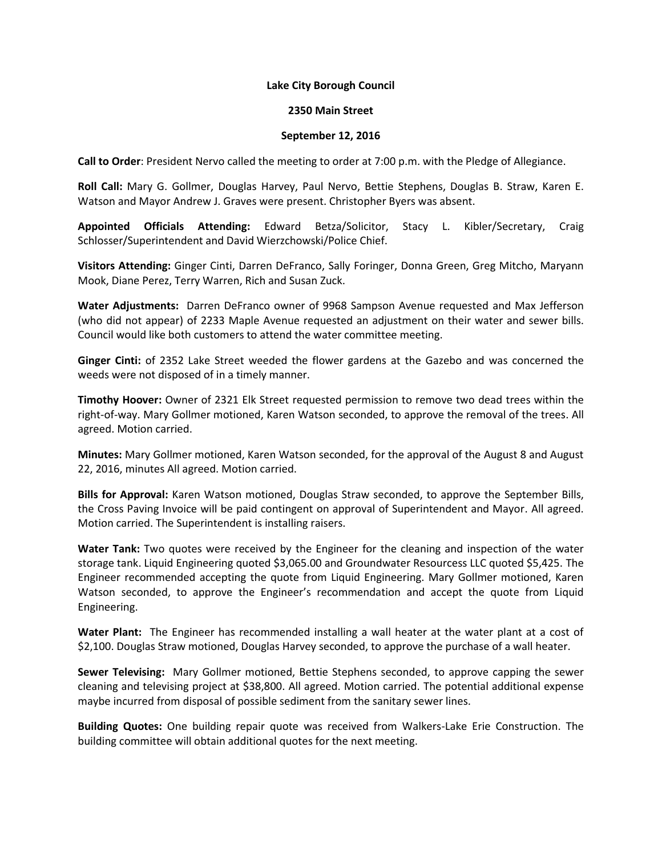## **Lake City Borough Council**

## **2350 Main Street**

## **September 12, 2016**

**Call to Order**: President Nervo called the meeting to order at 7:00 p.m. with the Pledge of Allegiance.

**Roll Call:** Mary G. Gollmer, Douglas Harvey, Paul Nervo, Bettie Stephens, Douglas B. Straw, Karen E. Watson and Mayor Andrew J. Graves were present. Christopher Byers was absent.

**Appointed Officials Attending:** Edward Betza/Solicitor, Stacy L. Kibler/Secretary, Craig Schlosser/Superintendent and David Wierzchowski/Police Chief.

**Visitors Attending:** Ginger Cinti, Darren DeFranco, Sally Foringer, Donna Green, Greg Mitcho, Maryann Mook, Diane Perez, Terry Warren, Rich and Susan Zuck.

**Water Adjustments:** Darren DeFranco owner of 9968 Sampson Avenue requested and Max Jefferson (who did not appear) of 2233 Maple Avenue requested an adjustment on their water and sewer bills. Council would like both customers to attend the water committee meeting.

**Ginger Cinti:** of 2352 Lake Street weeded the flower gardens at the Gazebo and was concerned the weeds were not disposed of in a timely manner.

**Timothy Hoover:** Owner of 2321 Elk Street requested permission to remove two dead trees within the right-of-way. Mary Gollmer motioned, Karen Watson seconded, to approve the removal of the trees. All agreed. Motion carried.

**Minutes:** Mary Gollmer motioned, Karen Watson seconded, for the approval of the August 8 and August 22, 2016, minutes All agreed. Motion carried.

**Bills for Approval:** Karen Watson motioned, Douglas Straw seconded, to approve the September Bills, the Cross Paving Invoice will be paid contingent on approval of Superintendent and Mayor. All agreed. Motion carried. The Superintendent is installing raisers.

**Water Tank:** Two quotes were received by the Engineer for the cleaning and inspection of the water storage tank. Liquid Engineering quoted \$3,065.00 and Groundwater Resourcess LLC quoted \$5,425. The Engineer recommended accepting the quote from Liquid Engineering. Mary Gollmer motioned, Karen Watson seconded, to approve the Engineer's recommendation and accept the quote from Liquid Engineering.

**Water Plant:** The Engineer has recommended installing a wall heater at the water plant at a cost of \$2,100. Douglas Straw motioned, Douglas Harvey seconded, to approve the purchase of a wall heater.

**Sewer Televising:** Mary Gollmer motioned, Bettie Stephens seconded, to approve capping the sewer cleaning and televising project at \$38,800. All agreed. Motion carried. The potential additional expense maybe incurred from disposal of possible sediment from the sanitary sewer lines.

**Building Quotes:** One building repair quote was received from Walkers-Lake Erie Construction. The building committee will obtain additional quotes for the next meeting.